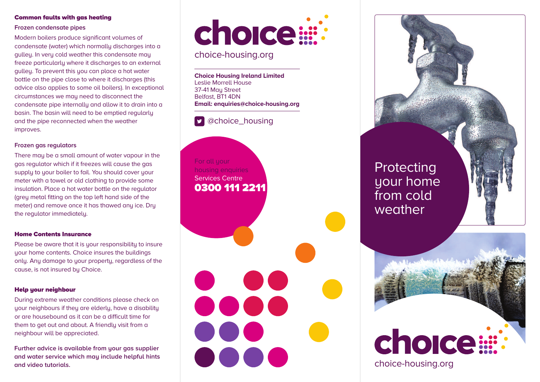### **Common faults with gas heating**

### **Frozen condensate pipes**

Modern boilers produce significant volumes of condensate (water) which normally discharges into a gulley. In very cold weather this condensate may freeze particularly where it discharges to an external gulley. To prevent this you can place a hot water bottle on the pipe close to where it discharges (this advice also applies to some oil boilers). In exceptional circumstances we may need to disconnect the condensate pipe internally and allow it to drain into a basin. The basin will need to be emptied regularly and the pipe reconnected when the weather improves.

### **Frozen gas regulators**

There may be a small amount of water vapour in the gas regulator which if it freezes will cause the gas supply to your boiler to fail. You should cover your meter with a towel or old clothing to provide some insulation. Place a hot water bottle on the regulator (grey metal fitting on the top left hand side of the meter) and remove once it has thawed any ice. Dry the regulator immediately.

### **Home Contents Insurance**

Please be aware that it is your responsibility to insure your home contents. Choice insures the buildings only. Any damage to your property, regardless of the cause, is not insured by Choice.

### **Help your neighbour**

During extreme weather conditions please check on your neighbours if they are elderly, have a disability or are housebound as it can be a difficult time for them to get out and about. A friendly visit from a neighbour will be appreciated.

**Further advice is available from your gas supplier and water service which may include helpful hints and video tutorials.**



## choice-housing.org

**Choice Housing Ireland Limited** Leslie Morrell House 37-41 Mau Street Belfast, BT1 4DN **Email: enquiries@choice-housing.org**

# @choice\_housing

For all your housing enquiries Services Centre **0300 111 2211**

0000

DOOG

Protecting your home from cold weather